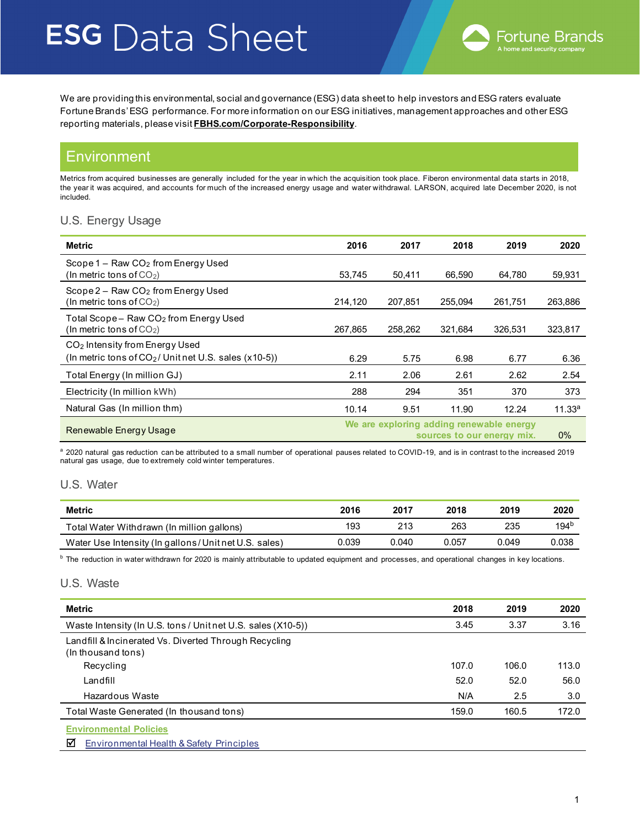We are providing this environmental, social and governance (ESG) data sheet to help investors and ESG raters evaluate Fortune Brands' ESG performance. For more information on our ESG initiatives, management approaches and other ESG reporting materials, please visit **[FBHS.com/Corporate-Responsibility](https://www.fbhs.com/corporate-responsibility)**.

## **Environment**

Metrics from acquired businesses are generally included for the year in which the acquisition took place. Fiberon environmental data starts in 2018, the year it was acquired, and accounts for much of the increased energy usage and water withdrawal. LARSON, acquired late December 2020, is not included.

### U.S. Energy Usage

| Metric                                                                                               | 2016    | 2017                                                                   | 2018    | 2019    | 2020               |  |
|------------------------------------------------------------------------------------------------------|---------|------------------------------------------------------------------------|---------|---------|--------------------|--|
| Scope $1 - Raw CO2$ from Energy Used<br>(In metric tons of $CO2$ )                                   | 53,745  | 50,411                                                                 | 66,590  | 64,780  | 59,931             |  |
| $Scope 2 - Raw CO2 from Energy Used$<br>(In metric tons of $CO2$ )                                   | 214,120 | 207,851                                                                | 255.094 | 261,751 | 263,886            |  |
| Total Scope-Raw CO <sub>2</sub> from Energy Used<br>(In metric tons of $CO2$ )                       | 267,865 | 258,262                                                                | 321,684 | 326,531 | 323,817            |  |
| CO <sub>2</sub> Intensity from Energy Used<br>(In metric tons of $CO2/$ Unit net U.S. sales (x10-5)) | 6.29    | 5.75                                                                   | 6.98    | 6.77    | 6.36               |  |
| Total Energy (In million GJ)                                                                         | 2.11    | 2.06                                                                   | 2.61    | 2.62    | 2.54               |  |
| Electricity (In million kWh)                                                                         | 288     | 294                                                                    | 351     | 370     | 373                |  |
| Natural Gas (In million thm)                                                                         | 10.14   | 9.51                                                                   | 11.90   | 12.24   | 11.33 <sup>a</sup> |  |
| Renewable Energy Usage                                                                               |         | We are exploring adding renewable energy<br>sources to our energy mix. |         |         |                    |  |

a 2020 natural gas reduction can be attributed to a small number of operational pauses related to COVID-19, and is in contrast to the increased 2019 natural gas usage, due to extremely cold winter temperatures.

### U.S. Water

| <b>Metric</b>                                        | 2016  | 2017  | 2018  | 2019  | 2020             |
|------------------------------------------------------|-------|-------|-------|-------|------------------|
| Total Water Withdrawn (In million gallons)           | 193   | 213   | 263   | 235   | 194 <sup>b</sup> |
| Water Use Intensity (In gallons/Unit net U.S. sales) | 0.039 | 0.040 | 0.057 | 0.049 | 0.038            |

<sup>b</sup> The reduction in water withdrawn for 2020 is mainly attributable to updated equipment and processes, and operational changes in key locations.

### U.S. Waste

| Metric                                                                         | 2018  | 2019  | 2020  |
|--------------------------------------------------------------------------------|-------|-------|-------|
| Waste Intensity (In U.S. tons / Unit net U.S. sales (X10-5))                   | 3.45  | 3.37  | 3.16  |
| Landfill & Incinerated Vs. Diverted Through Recycling<br>(In thousand tons)    |       |       |       |
| Recycling                                                                      | 107.0 | 106.0 | 113.0 |
| Landfill                                                                       | 52.0  | 52.0  | 56.0  |
| Hazardous Waste                                                                | N/A   | 2.5   | 3.0   |
| Total Waste Generated (In thousand tons)                                       | 159.0 | 160.5 | 172.0 |
| <b>Environmental Policies</b><br>⊠<br>Environmental Health & Safety Principles |       |       |       |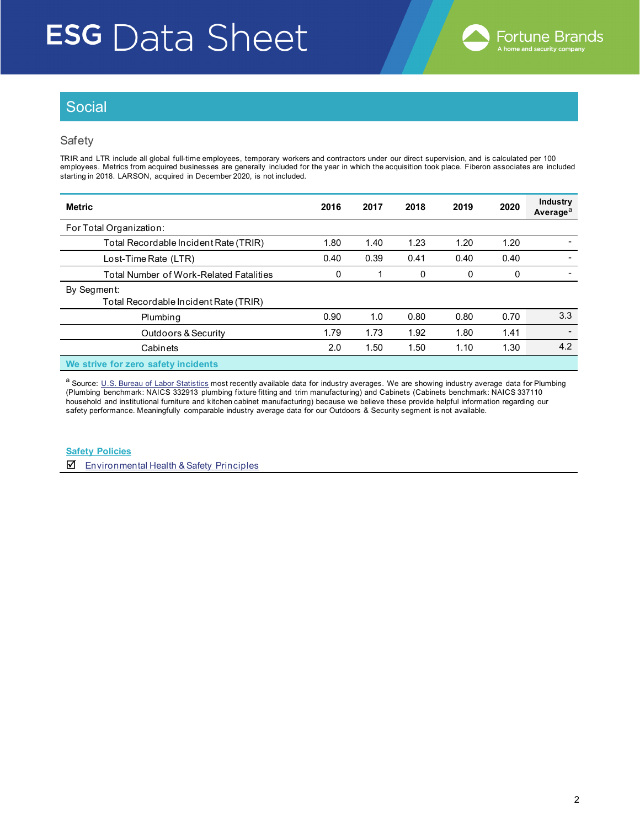

# **Social**

### Safety

TRIR and LTR include all global full-time employees, temporary workers and contractors under our direct supervision, and is calculated per 100 employees. Metrics from acquired businesses are generally included for the year in which the acquisition took place. Fiberon associates are included starting in 2018. LARSON, acquired in December 2020, is not included.

| <b>Metric</b>                                        | 2016 | 2017 | 2018 | 2019 | 2020 | Industry<br>Average <sup>a</sup> |
|------------------------------------------------------|------|------|------|------|------|----------------------------------|
| For Total Organization:                              |      |      |      |      |      |                                  |
| Total Recordable Incident Rate (TRIR)                | 1.80 | 1.40 | 1.23 | 1.20 | 1.20 |                                  |
| Lost-Time Rate (LTR)                                 | 0.40 | 0.39 | 0.41 | 0.40 | 0.40 |                                  |
| Total Number of Work-Related Fatalities              | 0    |      | 0    | 0    | 0    |                                  |
| By Segment:<br>Total Recordable Incident Rate (TRIR) |      |      |      |      |      |                                  |
| Plumbing                                             | 0.90 | 1.0  | 0.80 | 0.80 | 0.70 | 3.3                              |
| Outdoors & Security                                  | 1.79 | 1.73 | 1.92 | 1.80 | 1.41 | $\overline{\phantom{0}}$         |
| Cabinets                                             | 2.0  | 1.50 | 1.50 | 1.10 | 1.30 | 4.2                              |
| We strive for zero safety incidents                  |      |      |      |      |      |                                  |

a Source: [U.S. Bureau of Labor Statistics](https://www.bls.gov/web/osh/summ1_00.htm#soii_n17_as_t1.f.2) most recently available data for industry averages. We are showing industry average data for Plumbing (Plumbing benchmark: NAICS 332913 plumbing fixture fitting and trim manufacturing) and Cabinets (Cabinets benchmark: NAICS 337110 household and institutional furniture and kitchen cabinet manufacturing) because we believe these provide helpful information regarding our safety performance. Meaningfully comparable industry average data for our Outdoors & Security segment is not available.

**Safety Policies**

 $\overline{\mathbf{A}}$  [Environmental Health & Safety Principles](https://www.fbhs.com/corporate-responsibility/esg-policies-and-resources)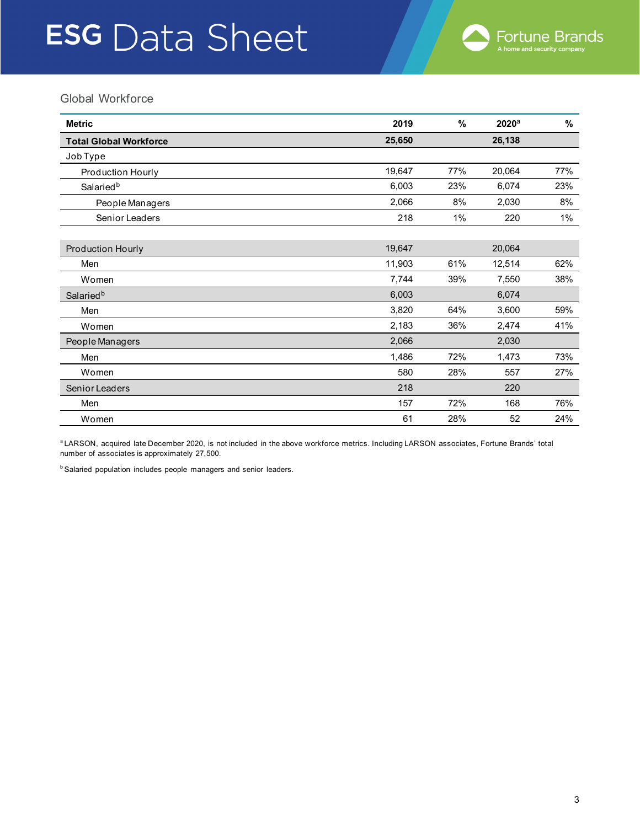## Global Workforce

| <b>Metric</b>                 | 2019   | %   | $2020$ <sup>a</sup> | %     |
|-------------------------------|--------|-----|---------------------|-------|
| <b>Total Global Workforce</b> | 25,650 |     | 26,138              |       |
| Job Type                      |        |     |                     |       |
| Production Hourly             | 19,647 | 77% | 20,064              | 77%   |
| Salaried <sup>b</sup>         | 6,003  | 23% | 6,074               | 23%   |
| People Managers               | 2,066  | 8%  | 2,030               | 8%    |
| Senior Leaders                | 218    | 1%  | 220                 | $1\%$ |
|                               |        |     |                     |       |
| <b>Production Hourly</b>      | 19,647 |     | 20,064              |       |
| Men                           | 11,903 | 61% | 12,514              | 62%   |
| Women                         | 7,744  | 39% | 7,550               | 38%   |
| Salaried <sup>b</sup>         | 6,003  |     | 6,074               |       |
| Men                           | 3,820  | 64% | 3,600               | 59%   |
| Women                         | 2,183  | 36% | 2,474               | 41%   |
| People Managers               | 2,066  |     | 2,030               |       |
| Men                           | 1,486  | 72% | 1,473               | 73%   |
| Women                         | 580    | 28% | 557                 | 27%   |
| Senior Leaders                | 218    |     | 220                 |       |
| Men                           | 157    | 72% | 168                 | 76%   |
| Women                         | 61     | 28% | 52                  | 24%   |

a LARSON, acquired late December 2020, is not included in the above workforce metrics. Including LARSON associates, Fortune Brands' total number of associates is approximately 27,500.

**b Salaried population includes people managers and senior leaders.**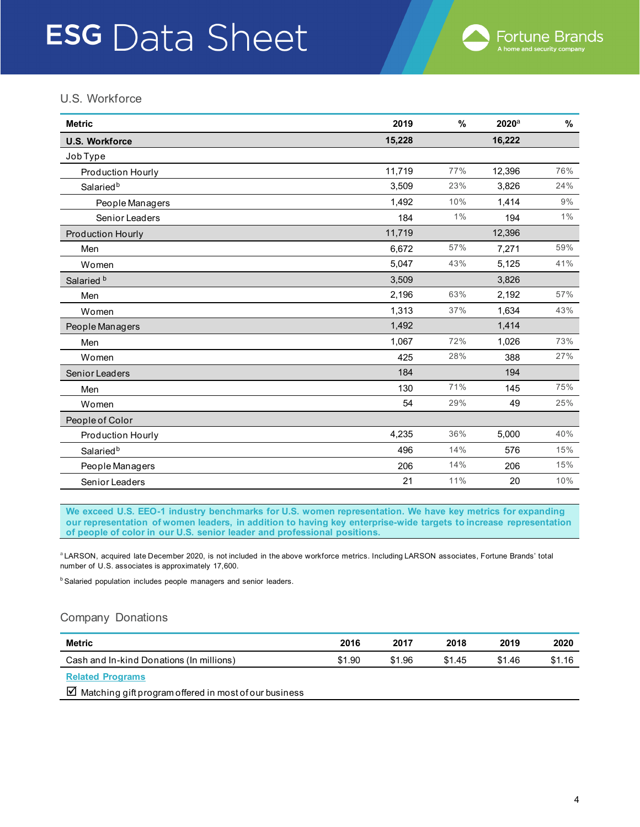## U.S. Workforce

| <b>Metric</b>            | 2019   | %     | 2020a  | $\%$  |
|--------------------------|--------|-------|--------|-------|
| <b>U.S. Workforce</b>    | 15,228 |       | 16,222 |       |
| Job Type                 |        |       |        |       |
| Production Hourly        | 11,719 | 77%   | 12,396 | 76%   |
| Salaried <sup>b</sup>    | 3,509  | 23%   | 3,826  | 24%   |
| People Managers          | 1,492  | 10%   | 1,414  | 9%    |
| Senior Leaders           | 184    | $1\%$ | 194    | $1\%$ |
| <b>Production Hourly</b> | 11,719 |       | 12,396 |       |
| Men                      | 6,672  | 57%   | 7,271  | 59%   |
| Women                    | 5,047  | 43%   | 5,125  | 41%   |
| Salaried <sup>b</sup>    | 3,509  |       | 3,826  |       |
| Men                      | 2,196  | 63%   | 2,192  | 57%   |
| Women                    | 1,313  | 37%   | 1,634  | 43%   |
| People Managers          | 1,492  |       | 1,414  |       |
| Men                      | 1,067  | 72%   | 1,026  | 73%   |
| Women                    | 425    | 28%   | 388    | 27%   |
| Senior Leaders           | 184    |       | 194    |       |
| Men                      | 130    | 71%   | 145    | 75%   |
| Women                    | 54     | 29%   | 49     | 25%   |
| People of Color          |        |       |        |       |
| Production Hourly        | 4,235  | 36%   | 5,000  | 40%   |
| Salaried <sup>b</sup>    | 496    | 14%   | 576    | 15%   |
| People Managers          | 206    | 14%   | 206    | 15%   |
| Senior Leaders           | 21     | 11%   | 20     | 10%   |

**We exceed U.S. EEO-1 industry benchmarks for U.S. women representation. We have key metrics for expanding our representation of women leaders, in addition to having key enterprise-wide targets to increase representation of people of color in our U.S. senior leader and professional positions.** 

a LARSON, acquired late December 2020, is not included in the above workforce metrics. Including LARSON associates, Fortune Brands' total number of U.S. associates is approximately 17,600.

**b Salaried population includes people managers and senior leaders.** 

### Company Donations

| Metric                                   | 2016   | 2017   | 2018   | 2019   | 2020   |
|------------------------------------------|--------|--------|--------|--------|--------|
| Cash and In-kind Donations (In millions) | \$1.90 | \$1.96 | \$1.45 | \$1.46 | \$1.16 |
| <b>Related Programs</b>                  |        |        |        |        |        |

 $\boxtimes$  Matching gift program offered in most of our business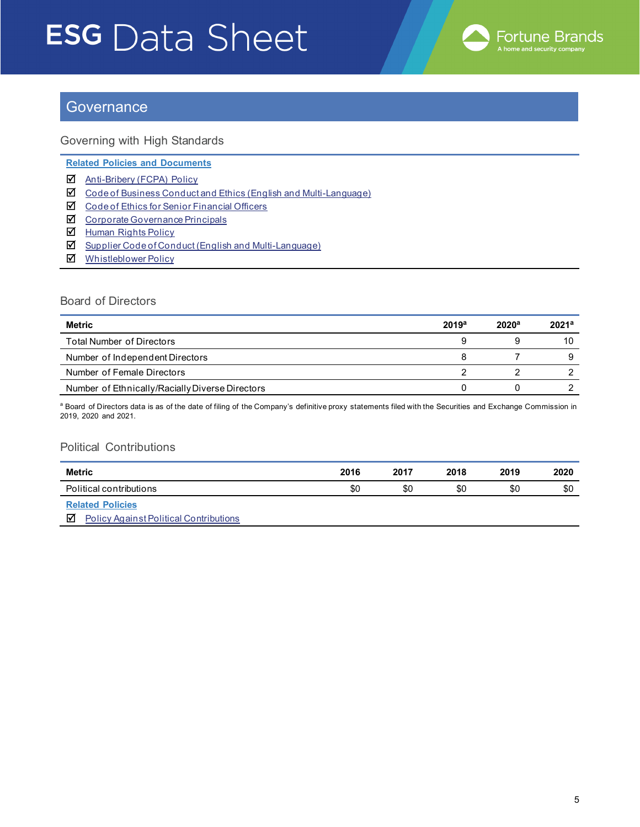

## **Governance**

Governing with High Standards

**Related Policies and Documents**

- [Anti-Bribery \(FCPA\)](https://www.fbhs.com/corporate-responsibility/esg-policies-and-resources) Policy
- ◘ [Code of Business Conduct and Ethics \(English and Multi-Language\)](https://www.fbhs.com/corporate-responsibility/esg-policies-and-resources)
- ◘ [Code of Ethics for Senior Financial Officers](https://www.fbhs.com/corporate-responsibility/esg-policies-and-resources)
- **Z** [Corporate Governance Principals](https://www.fbhs.com/corporate-responsibility/esg-policies-and-resources)
- [Human Rights Policy](https://www.fbhs.com/corporate-responsibility/esg-policies-and-resources)
- ◘ Supplier Code of Conduct [\(English and Multi-Language\)](https://www.fbhs.com/corporate-responsibility/esg-policies-and-resources)
- [Whistleblower Policy](https://www.fbhs.com/corporate-responsibility/esg-policies-and-resources)

### Board of Directors

| Metric                                          | 2019a | 2020 <sup>a</sup> | 2021 <sup>a</sup> |
|-------------------------------------------------|-------|-------------------|-------------------|
| Total Number of Directors                       | 9     |                   |                   |
| Number of Independent Directors                 | 8     |                   |                   |
| Number of Female Directors                      |       |                   |                   |
| Number of Ethnically/Racially Diverse Directors |       |                   |                   |

a Board of Directors data is as of the date of filing of the Company's definitive proxy statements filed with the Securities and Exchange Commission in 2019, 2020 and 2021.

### Political Contributions

| <b>Metric</b>                                       | 2016 | 2017 | 2018 | 2019 | 2020 |
|-----------------------------------------------------|------|------|------|------|------|
| Political contributions                             | \$0  | \$0  | \$0  | \$0  | \$0  |
| <b>Related Policies</b><br>$\overline{\phantom{0}}$ |      |      |      |      |      |

**[Policy Against Political Contributions](https://fbhs-com.l5.wfdev.net/app/uploads/2021/08/2020-FBHS-ESG-Report-Final.pdf)**